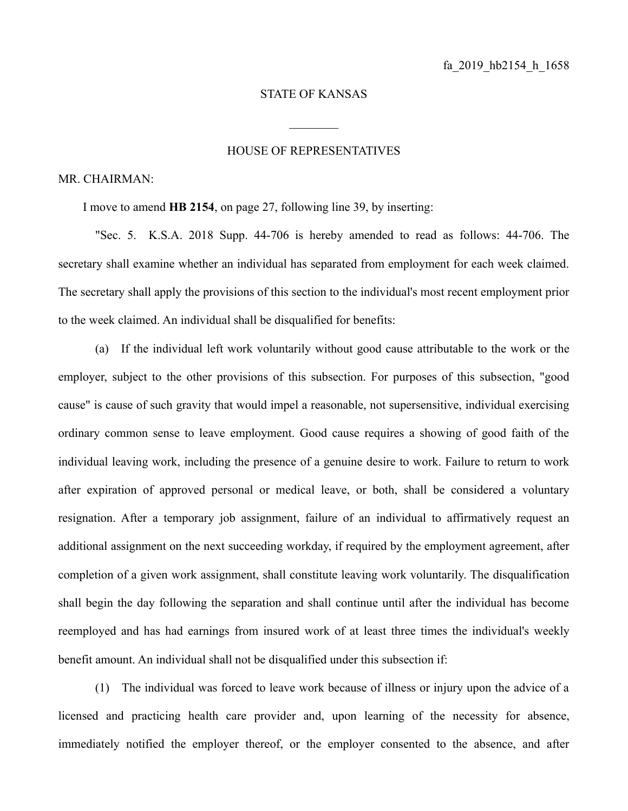## STATE OF KANSAS

 $\frac{1}{2}$ 

## HOUSE OF REPRESENTATIVES

## MR. CHAIRMAN:

I move to amend **HB 2154**, on page 27, following line 39, by inserting:

"Sec. 5. K.S.A. 2018 Supp. 44-706 is hereby amended to read as follows: 44-706. The secretary shall examine whether an individual has separated from employment for each week claimed. The secretary shall apply the provisions of this section to the individual's most recent employment prior to the week claimed. An individual shall be disqualified for benefits:

(a) If the individual left work voluntarily without good cause attributable to the work or the employer, subject to the other provisions of this subsection. For purposes of this subsection, "good cause" is cause of such gravity that would impel a reasonable, not supersensitive, individual exercising ordinary common sense to leave employment. Good cause requires a showing of good faith of the individual leaving work, including the presence of a genuine desire to work. Failure to return to work after expiration of approved personal or medical leave, or both, shall be considered a voluntary resignation. After a temporary job assignment, failure of an individual to affirmatively request an additional assignment on the next succeeding workday, if required by the employment agreement, after completion of a given work assignment, shall constitute leaving work voluntarily. The disqualification shall begin the day following the separation and shall continue until after the individual has become reemployed and has had earnings from insured work of at least three times the individual's weekly benefit amount. An individual shall not be disqualified under this subsection if:

(1) The individual was forced to leave work because of illness or injury upon the advice of a licensed and practicing health care provider and, upon learning of the necessity for absence, immediately notified the employer thereof, or the employer consented to the absence, and after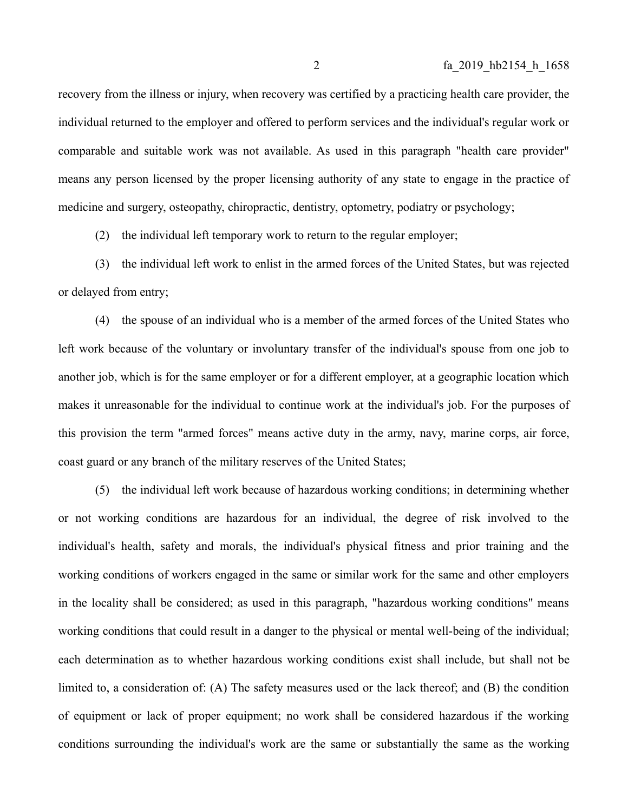recovery from the illness or injury, when recovery was certified by a practicing health care provider, the individual returned to the employer and offered to perform services and the individual's regular work or comparable and suitable work was not available. As used in this paragraph "health care provider" means any person licensed by the proper licensing authority of any state to engage in the practice of medicine and surgery, osteopathy, chiropractic, dentistry, optometry, podiatry or psychology;

(2) the individual left temporary work to return to the regular employer;

(3) the individual left work to enlist in the armed forces of the United States, but was rejected or delayed from entry;

(4) the spouse of an individual who is a member of the armed forces of the United States who left work because of the voluntary or involuntary transfer of the individual's spouse from one job to another job, which is for the same employer or for a different employer, at a geographic location which makes it unreasonable for the individual to continue work at the individual's job. For the purposes of this provision the term "armed forces" means active duty in the army, navy, marine corps, air force, coast guard or any branch of the military reserves of the United States;

(5) the individual left work because of hazardous working conditions; in determining whether or not working conditions are hazardous for an individual, the degree of risk involved to the individual's health, safety and morals, the individual's physical fitness and prior training and the working conditions of workers engaged in the same or similar work for the same and other employers in the locality shall be considered; as used in this paragraph, "hazardous working conditions" means working conditions that could result in a danger to the physical or mental well-being of the individual; each determination as to whether hazardous working conditions exist shall include, but shall not be limited to, a consideration of: (A) The safety measures used or the lack thereof; and (B) the condition of equipment or lack of proper equipment; no work shall be considered hazardous if the working conditions surrounding the individual's work are the same or substantially the same as the working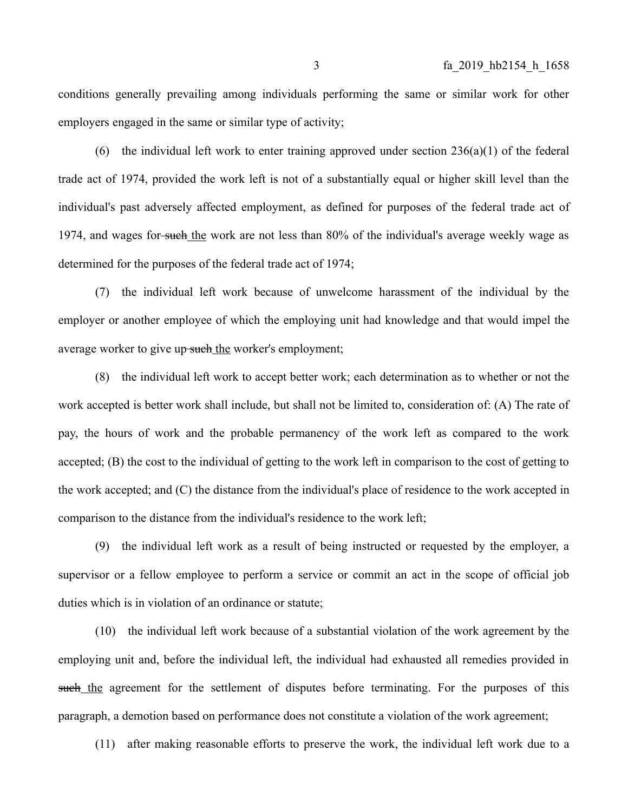conditions generally prevailing among individuals performing the same or similar work for other employers engaged in the same or similar type of activity;

(6) the individual left work to enter training approved under section  $236(a)(1)$  of the federal trade act of 1974, provided the work left is not of a substantially equal or higher skill level than the individual's past adversely affected employment, as defined for purposes of the federal trade act of 1974, and wages for such the work are not less than 80% of the individual's average weekly wage as determined for the purposes of the federal trade act of 1974;

(7) the individual left work because of unwelcome harassment of the individual by the employer or another employee of which the employing unit had knowledge and that would impel the average worker to give up-such the worker's employment;

(8) the individual left work to accept better work; each determination as to whether or not the work accepted is better work shall include, but shall not be limited to, consideration of: (A) The rate of pay, the hours of work and the probable permanency of the work left as compared to the work accepted; (B) the cost to the individual of getting to the work left in comparison to the cost of getting to the work accepted; and (C) the distance from the individual's place of residence to the work accepted in comparison to the distance from the individual's residence to the work left;

(9) the individual left work as a result of being instructed or requested by the employer, a supervisor or a fellow employee to perform a service or commit an act in the scope of official job duties which is in violation of an ordinance or statute;

(10) the individual left work because of a substantial violation of the work agreement by the employing unit and, before the individual left, the individual had exhausted all remedies provided in such the agreement for the settlement of disputes before terminating. For the purposes of this paragraph, a demotion based on performance does not constitute a violation of the work agreement;

(11) after making reasonable efforts to preserve the work, the individual left work due to a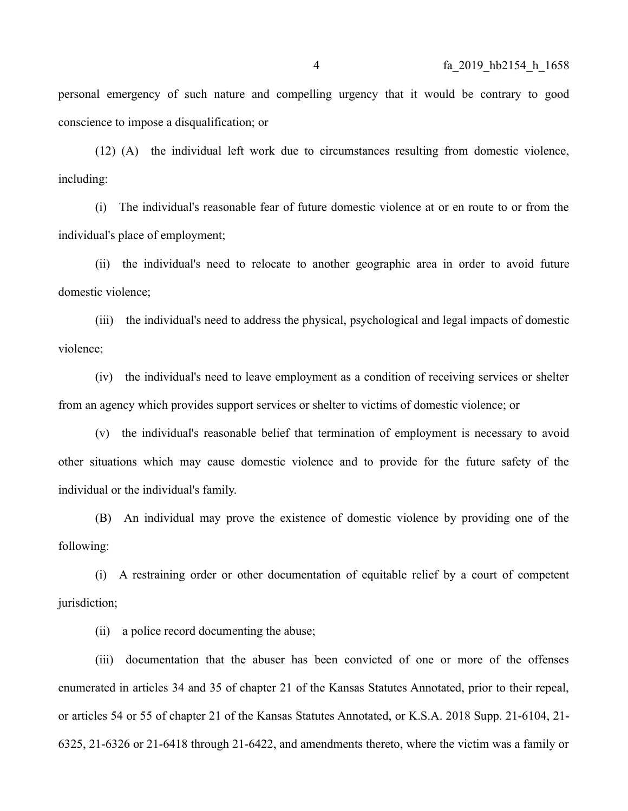personal emergency of such nature and compelling urgency that it would be contrary to good conscience to impose a disqualification; or

(12) (A) the individual left work due to circumstances resulting from domestic violence, including:

(i) The individual's reasonable fear of future domestic violence at or en route to or from the individual's place of employment;

(ii) the individual's need to relocate to another geographic area in order to avoid future domestic violence;

(iii) the individual's need to address the physical, psychological and legal impacts of domestic violence;

(iv) the individual's need to leave employment as a condition of receiving services or shelter from an agency which provides support services or shelter to victims of domestic violence; or

(v) the individual's reasonable belief that termination of employment is necessary to avoid other situations which may cause domestic violence and to provide for the future safety of the individual or the individual's family.

(B) An individual may prove the existence of domestic violence by providing one of the following:

(i) A restraining order or other documentation of equitable relief by a court of competent jurisdiction;

(ii) a police record documenting the abuse;

(iii) documentation that the abuser has been convicted of one or more of the offenses enumerated in articles 34 and 35 of chapter 21 of the Kansas Statutes Annotated, prior to their repeal, or articles 54 or 55 of chapter 21 of the Kansas Statutes Annotated, or K.S.A. 2018 Supp. 21-6104, 21- 6325, 21-6326 or 21-6418 through 21-6422, and amendments thereto, where the victim was a family or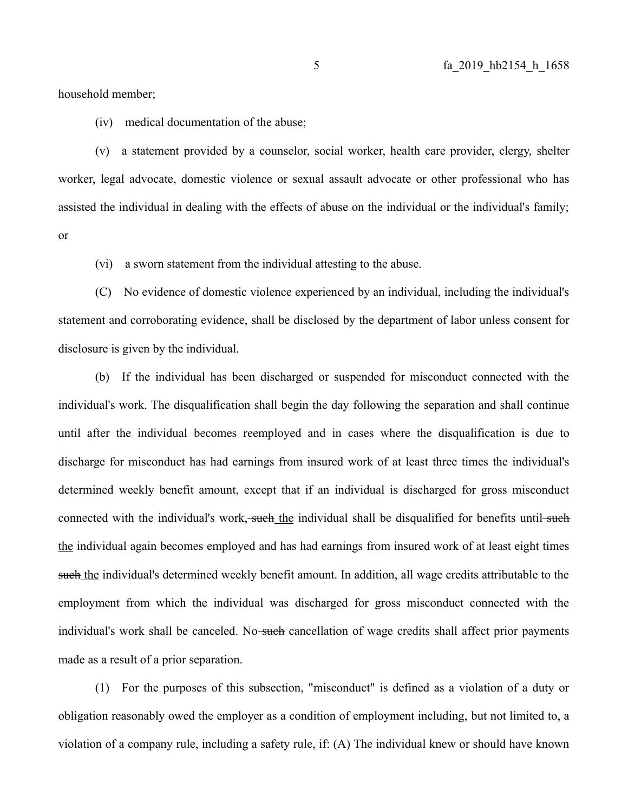household member;

(iv) medical documentation of the abuse;

(v) a statement provided by a counselor, social worker, health care provider, clergy, shelter worker, legal advocate, domestic violence or sexual assault advocate or other professional who has assisted the individual in dealing with the effects of abuse on the individual or the individual's family; or

(vi) a sworn statement from the individual attesting to the abuse.

(C) No evidence of domestic violence experienced by an individual, including the individual's statement and corroborating evidence, shall be disclosed by the department of labor unless consent for disclosure is given by the individual.

(b) If the individual has been discharged or suspended for misconduct connected with the individual's work. The disqualification shall begin the day following the separation and shall continue until after the individual becomes reemployed and in cases where the disqualification is due to discharge for misconduct has had earnings from insured work of at least three times the individual's determined weekly benefit amount, except that if an individual is discharged for gross misconduct connected with the individual's work, such the individual shall be disqualified for benefits until such the individual again becomes employed and has had earnings from insured work of at least eight times such the individual's determined weekly benefit amount. In addition, all wage credits attributable to the employment from which the individual was discharged for gross misconduct connected with the individual's work shall be canceled. No-such cancellation of wage credits shall affect prior payments made as a result of a prior separation.

(1) For the purposes of this subsection, "misconduct" is defined as a violation of a duty or obligation reasonably owed the employer as a condition of employment including, but not limited to, a violation of a company rule, including a safety rule, if: (A) The individual knew or should have known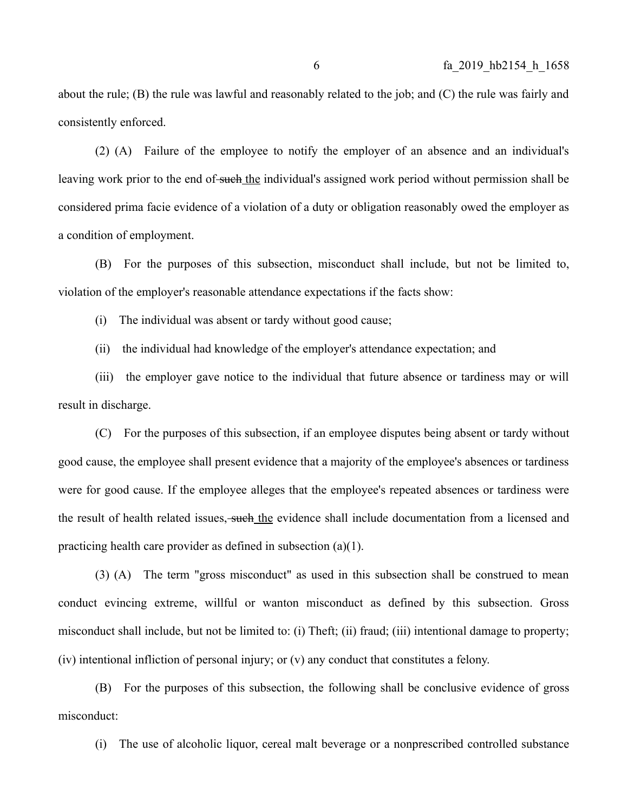about the rule; (B) the rule was lawful and reasonably related to the job; and (C) the rule was fairly and consistently enforced.

(2) (A) Failure of the employee to notify the employer of an absence and an individual's leaving work prior to the end of such the individual's assigned work period without permission shall be considered prima facie evidence of a violation of a duty or obligation reasonably owed the employer as a condition of employment.

(B) For the purposes of this subsection, misconduct shall include, but not be limited to, violation of the employer's reasonable attendance expectations if the facts show:

(i) The individual was absent or tardy without good cause;

(ii) the individual had knowledge of the employer's attendance expectation; and

(iii) the employer gave notice to the individual that future absence or tardiness may or will result in discharge.

(C) For the purposes of this subsection, if an employee disputes being absent or tardy without good cause, the employee shall present evidence that a majority of the employee's absences or tardiness were for good cause. If the employee alleges that the employee's repeated absences or tardiness were the result of health related issues, such the evidence shall include documentation from a licensed and practicing health care provider as defined in subsection (a)(1).

(3) (A) The term "gross misconduct" as used in this subsection shall be construed to mean conduct evincing extreme, willful or wanton misconduct as defined by this subsection. Gross misconduct shall include, but not be limited to: (i) Theft; (ii) fraud; (iii) intentional damage to property; (iv) intentional infliction of personal injury; or (v) any conduct that constitutes a felony.

(B) For the purposes of this subsection, the following shall be conclusive evidence of gross misconduct:

(i) The use of alcoholic liquor, cereal malt beverage or a nonprescribed controlled substance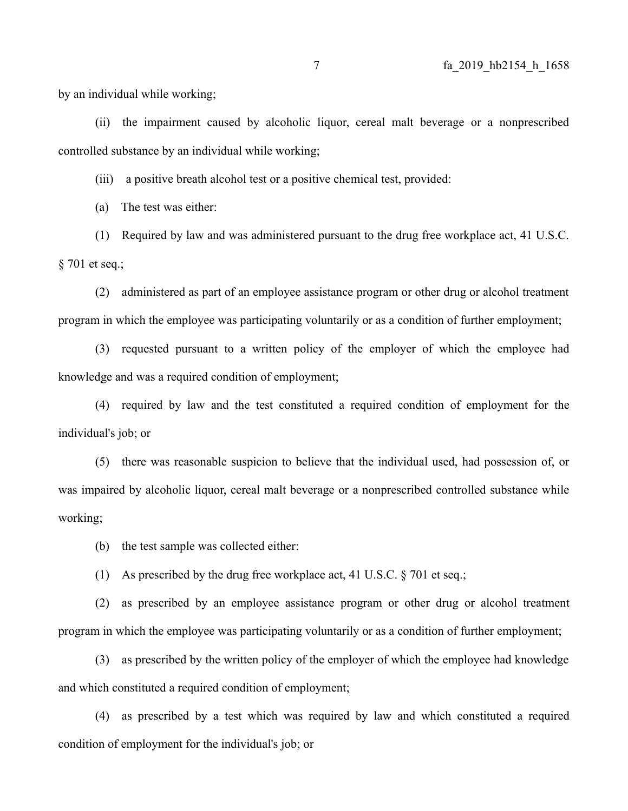by an individual while working;

(ii) the impairment caused by alcoholic liquor, cereal malt beverage or a nonprescribed controlled substance by an individual while working;

(iii) a positive breath alcohol test or a positive chemical test, provided:

(a) The test was either:

(1) Required by law and was administered pursuant to the drug free workplace act, 41 U.S.C. § 701 et seq.;

(2) administered as part of an employee assistance program or other drug or alcohol treatment program in which the employee was participating voluntarily or as a condition of further employment;

(3) requested pursuant to a written policy of the employer of which the employee had knowledge and was a required condition of employment;

(4) required by law and the test constituted a required condition of employment for the individual's job; or

(5) there was reasonable suspicion to believe that the individual used, had possession of, or was impaired by alcoholic liquor, cereal malt beverage or a nonprescribed controlled substance while working;

(b) the test sample was collected either:

(1) As prescribed by the drug free workplace act, 41 U.S.C. § 701 et seq.;

(2) as prescribed by an employee assistance program or other drug or alcohol treatment program in which the employee was participating voluntarily or as a condition of further employment;

(3) as prescribed by the written policy of the employer of which the employee had knowledge and which constituted a required condition of employment;

(4) as prescribed by a test which was required by law and which constituted a required condition of employment for the individual's job; or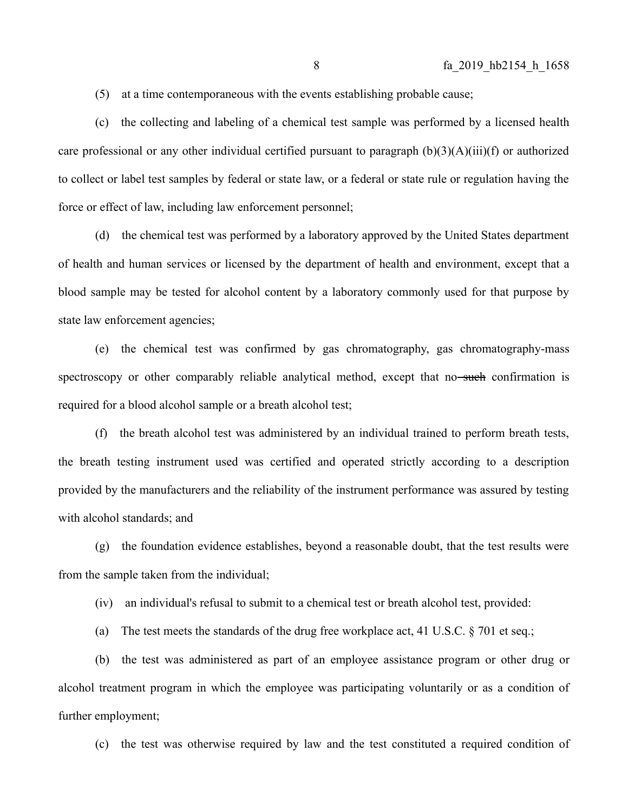(5) at a time contemporaneous with the events establishing probable cause;

(c) the collecting and labeling of a chemical test sample was performed by a licensed health care professional or any other individual certified pursuant to paragraph  $(b)(3)(A)(iii)(f)$  or authorized to collect or label test samples by federal or state law, or a federal or state rule or regulation having the force or effect of law, including law enforcement personnel;

(d) the chemical test was performed by a laboratory approved by the United States department of health and human services or licensed by the department of health and environment, except that a blood sample may be tested for alcohol content by a laboratory commonly used for that purpose by state law enforcement agencies;

(e) the chemical test was confirmed by gas chromatography, gas chromatography-mass spectroscopy or other comparably reliable analytical method, except that no such confirmation is required for a blood alcohol sample or a breath alcohol test;

(f) the breath alcohol test was administered by an individual trained to perform breath tests, the breath testing instrument used was certified and operated strictly according to a description provided by the manufacturers and the reliability of the instrument performance was assured by testing with alcohol standards; and

(g) the foundation evidence establishes, beyond a reasonable doubt, that the test results were from the sample taken from the individual;

(iv) an individual's refusal to submit to a chemical test or breath alcohol test, provided:

(a) The test meets the standards of the drug free workplace act, 41 U.S.C. § 701 et seq.;

(b) the test was administered as part of an employee assistance program or other drug or alcohol treatment program in which the employee was participating voluntarily or as a condition of further employment;

(c) the test was otherwise required by law and the test constituted a required condition of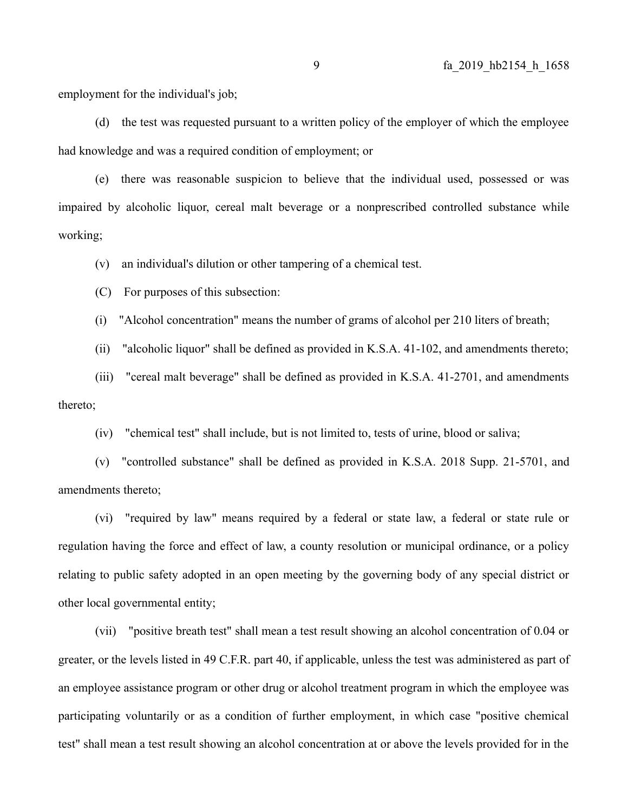employment for the individual's job;

(d) the test was requested pursuant to a written policy of the employer of which the employee had knowledge and was a required condition of employment; or

(e) there was reasonable suspicion to believe that the individual used, possessed or was impaired by alcoholic liquor, cereal malt beverage or a nonprescribed controlled substance while working;

(v) an individual's dilution or other tampering of a chemical test.

(C) For purposes of this subsection:

(i) "Alcohol concentration" means the number of grams of alcohol per 210 liters of breath;

(ii) "alcoholic liquor" shall be defined as provided in K.S.A. 41-102, and amendments thereto;

(iii) "cereal malt beverage" shall be defined as provided in K.S.A. 41-2701, and amendments thereto;

(iv) "chemical test" shall include, but is not limited to, tests of urine, blood or saliva;

(v) "controlled substance" shall be defined as provided in K.S.A. 2018 Supp. 21-5701, and amendments thereto;

(vi) "required by law" means required by a federal or state law, a federal or state rule or regulation having the force and effect of law, a county resolution or municipal ordinance, or a policy relating to public safety adopted in an open meeting by the governing body of any special district or other local governmental entity;

(vii) "positive breath test" shall mean a test result showing an alcohol concentration of 0.04 or greater, or the levels listed in 49 C.F.R. part 40, if applicable, unless the test was administered as part of an employee assistance program or other drug or alcohol treatment program in which the employee was participating voluntarily or as a condition of further employment, in which case "positive chemical test" shall mean a test result showing an alcohol concentration at or above the levels provided for in the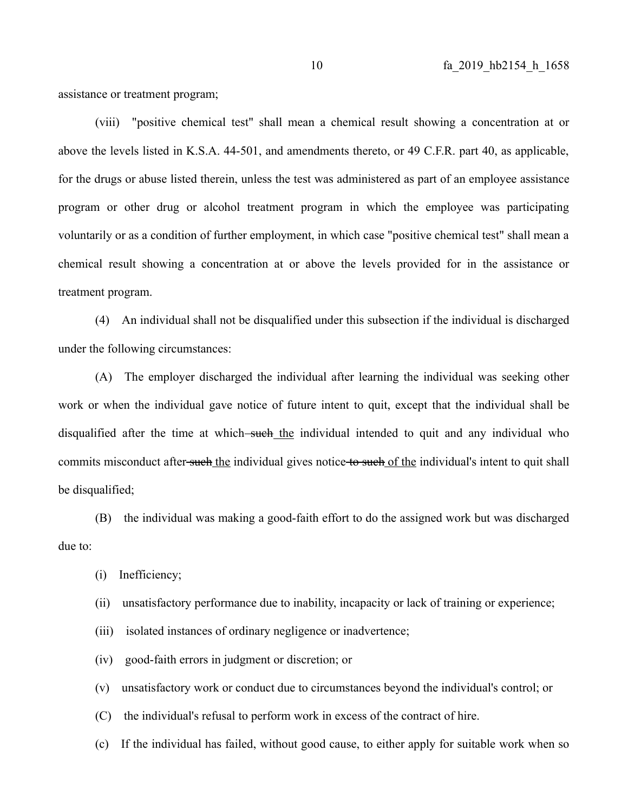assistance or treatment program;

(viii) "positive chemical test" shall mean a chemical result showing a concentration at or above the levels listed in K.S.A. 44-501, and amendments thereto, or 49 C.F.R. part 40, as applicable, for the drugs or abuse listed therein, unless the test was administered as part of an employee assistance program or other drug or alcohol treatment program in which the employee was participating voluntarily or as a condition of further employment, in which case "positive chemical test" shall mean a chemical result showing a concentration at or above the levels provided for in the assistance or treatment program.

(4) An individual shall not be disqualified under this subsection if the individual is discharged under the following circumstances:

(A) The employer discharged the individual after learning the individual was seeking other work or when the individual gave notice of future intent to quit, except that the individual shall be disqualified after the time at which—such the individual intended to quit and any individual who commits misconduct after-such the individual gives notice to such of the individual's intent to quit shall be disqualified;

(B) the individual was making a good-faith effort to do the assigned work but was discharged due to:

- (i) Inefficiency;
- (ii) unsatisfactory performance due to inability, incapacity or lack of training or experience;
- (iii) isolated instances of ordinary negligence or inadvertence;
- (iv) good-faith errors in judgment or discretion; or
- (v) unsatisfactory work or conduct due to circumstances beyond the individual's control; or
- (C) the individual's refusal to perform work in excess of the contract of hire.
- (c) If the individual has failed, without good cause, to either apply for suitable work when so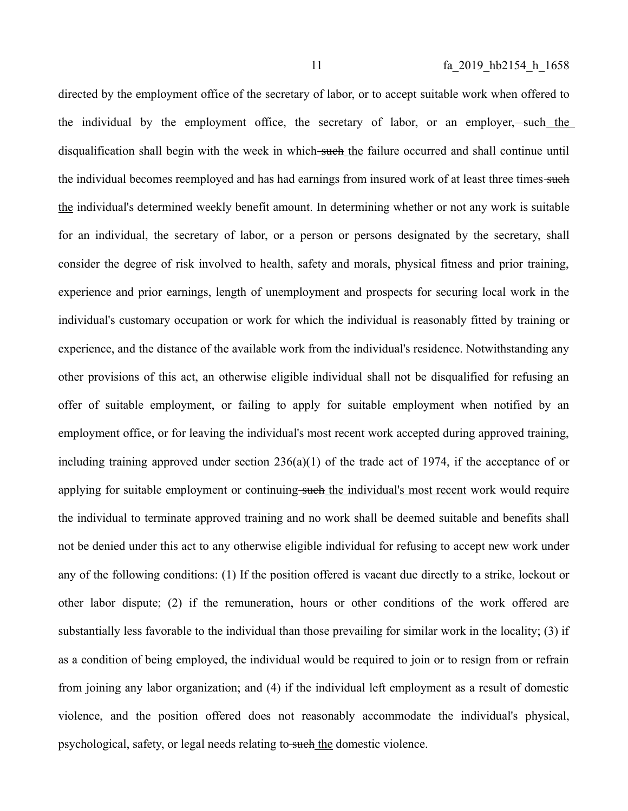directed by the employment office of the secretary of labor, or to accept suitable work when offered to the individual by the employment office, the secretary of labor, or an employer,—such the disqualification shall begin with the week in which such the failure occurred and shall continue until the individual becomes reemployed and has had earnings from insured work of at least three times-such the individual's determined weekly benefit amount. In determining whether or not any work is suitable for an individual, the secretary of labor, or a person or persons designated by the secretary, shall consider the degree of risk involved to health, safety and morals, physical fitness and prior training, experience and prior earnings, length of unemployment and prospects for securing local work in the individual's customary occupation or work for which the individual is reasonably fitted by training or experience, and the distance of the available work from the individual's residence. Notwithstanding any other provisions of this act, an otherwise eligible individual shall not be disqualified for refusing an offer of suitable employment, or failing to apply for suitable employment when notified by an employment office, or for leaving the individual's most recent work accepted during approved training, including training approved under section 236(a)(1) of the trade act of 1974, if the acceptance of or applying for suitable employment or continuing such the individual's most recent work would require the individual to terminate approved training and no work shall be deemed suitable and benefits shall not be denied under this act to any otherwise eligible individual for refusing to accept new work under any of the following conditions: (1) If the position offered is vacant due directly to a strike, lockout or other labor dispute; (2) if the remuneration, hours or other conditions of the work offered are substantially less favorable to the individual than those prevailing for similar work in the locality; (3) if as a condition of being employed, the individual would be required to join or to resign from or refrain from joining any labor organization; and (4) if the individual left employment as a result of domestic violence, and the position offered does not reasonably accommodate the individual's physical, psychological, safety, or legal needs relating to such the domestic violence.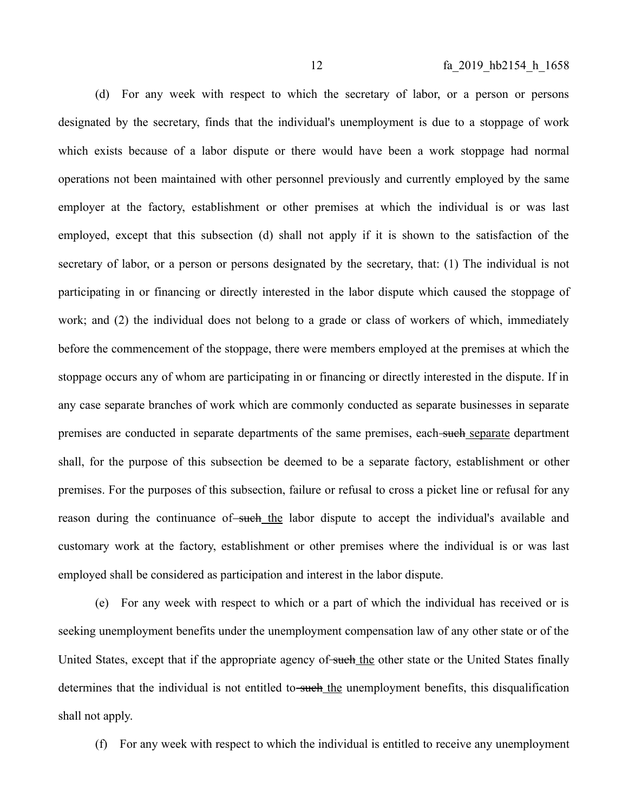(d) For any week with respect to which the secretary of labor, or a person or persons designated by the secretary, finds that the individual's unemployment is due to a stoppage of work which exists because of a labor dispute or there would have been a work stoppage had normal operations not been maintained with other personnel previously and currently employed by the same employer at the factory, establishment or other premises at which the individual is or was last employed, except that this subsection (d) shall not apply if it is shown to the satisfaction of the secretary of labor, or a person or persons designated by the secretary, that: (1) The individual is not participating in or financing or directly interested in the labor dispute which caused the stoppage of work; and (2) the individual does not belong to a grade or class of workers of which, immediately before the commencement of the stoppage, there were members employed at the premises at which the stoppage occurs any of whom are participating in or financing or directly interested in the dispute. If in any case separate branches of work which are commonly conducted as separate businesses in separate premises are conducted in separate departments of the same premises, each-such separate department shall, for the purpose of this subsection be deemed to be a separate factory, establishment or other premises. For the purposes of this subsection, failure or refusal to cross a picket line or refusal for any reason during the continuance of such the labor dispute to accept the individual's available and customary work at the factory, establishment or other premises where the individual is or was last employed shall be considered as participation and interest in the labor dispute.

(e) For any week with respect to which or a part of which the individual has received or is seeking unemployment benefits under the unemployment compensation law of any other state or of the United States, except that if the appropriate agency of such the other state or the United States finally determines that the individual is not entitled to-such the unemployment benefits, this disqualification shall not apply.

(f) For any week with respect to which the individual is entitled to receive any unemployment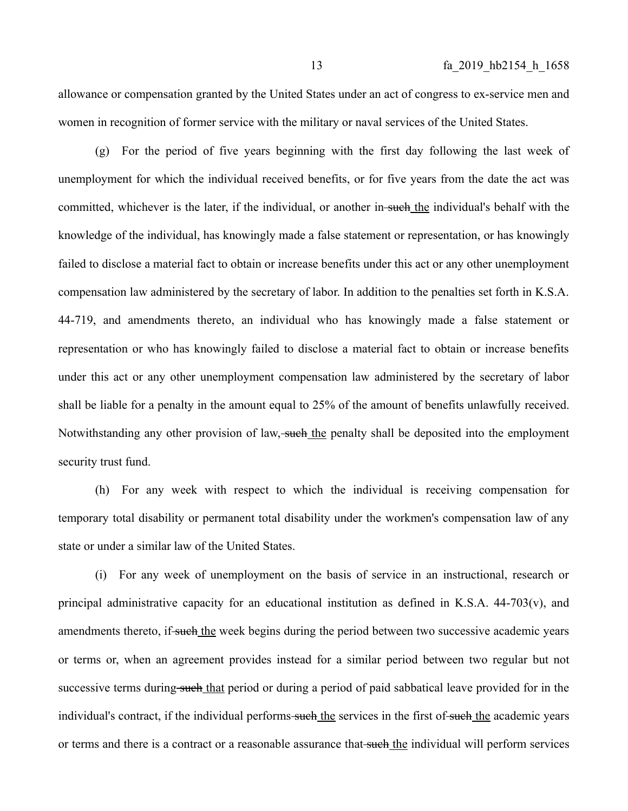allowance or compensation granted by the United States under an act of congress to ex-service men and women in recognition of former service with the military or naval services of the United States.

(g) For the period of five years beginning with the first day following the last week of unemployment for which the individual received benefits, or for five years from the date the act was committed, whichever is the later, if the individual, or another in-such the individual's behalf with the knowledge of the individual, has knowingly made a false statement or representation, or has knowingly failed to disclose a material fact to obtain or increase benefits under this act or any other unemployment compensation law administered by the secretary of labor. In addition to the penalties set forth in K.S.A. 44-719, and amendments thereto, an individual who has knowingly made a false statement or representation or who has knowingly failed to disclose a material fact to obtain or increase benefits under this act or any other unemployment compensation law administered by the secretary of labor shall be liable for a penalty in the amount equal to 25% of the amount of benefits unlawfully received. Notwithstanding any other provision of law, such the penalty shall be deposited into the employment security trust fund.

(h) For any week with respect to which the individual is receiving compensation for temporary total disability or permanent total disability under the workmen's compensation law of any state or under a similar law of the United States.

(i) For any week of unemployment on the basis of service in an instructional, research or principal administrative capacity for an educational institution as defined in K.S.A. 44-703(v), and amendments thereto, if such the week begins during the period between two successive academic years or terms or, when an agreement provides instead for a similar period between two regular but not successive terms during such that period or during a period of paid sabbatical leave provided for in the individual's contract, if the individual performs-such the services in the first of-such the academic years or terms and there is a contract or a reasonable assurance that such the individual will perform services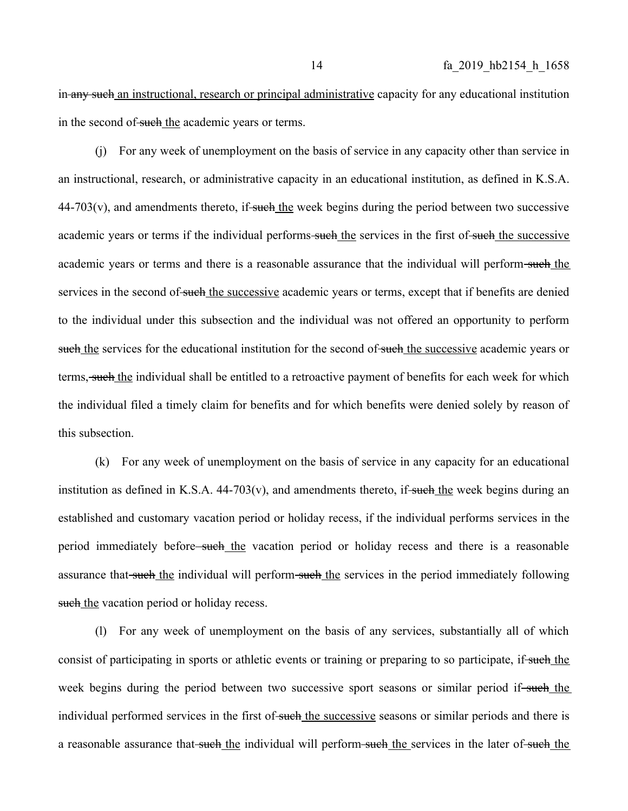in any such an instructional, research or principal administrative capacity for any educational institution in the second of such the academic years or terms.

(j) For any week of unemployment on the basis of service in any capacity other than service in an instructional, research, or administrative capacity in an educational institution, as defined in K.S.A.  $44-703(v)$ , and amendments thereto, if-such the week begins during the period between two successive academic years or terms if the individual performs-such the services in the first of such the successive academic years or terms and there is a reasonable assurance that the individual will perform-such the services in the second of such the successive academic years or terms, except that if benefits are denied to the individual under this subsection and the individual was not offered an opportunity to perform such the services for the educational institution for the second of such the successive academic years or terms, such the individual shall be entitled to a retroactive payment of benefits for each week for which the individual filed a timely claim for benefits and for which benefits were denied solely by reason of this subsection.

(k) For any week of unemployment on the basis of service in any capacity for an educational institution as defined in K.S.A.  $44-703(v)$ , and amendments thereto, if such the week begins during an established and customary vacation period or holiday recess, if the individual performs services in the period immediately before—such the vacation period or holiday recess and there is a reasonable assurance that such the individual will perform such the services in the period immediately following such the vacation period or holiday recess.

(l) For any week of unemployment on the basis of any services, substantially all of which consist of participating in sports or athletic events or training or preparing to so participate, if such the week begins during the period between two successive sport seasons or similar period if-such the individual performed services in the first of such the successive seasons or similar periods and there is a reasonable assurance that such the individual will perform such the services in the later of such the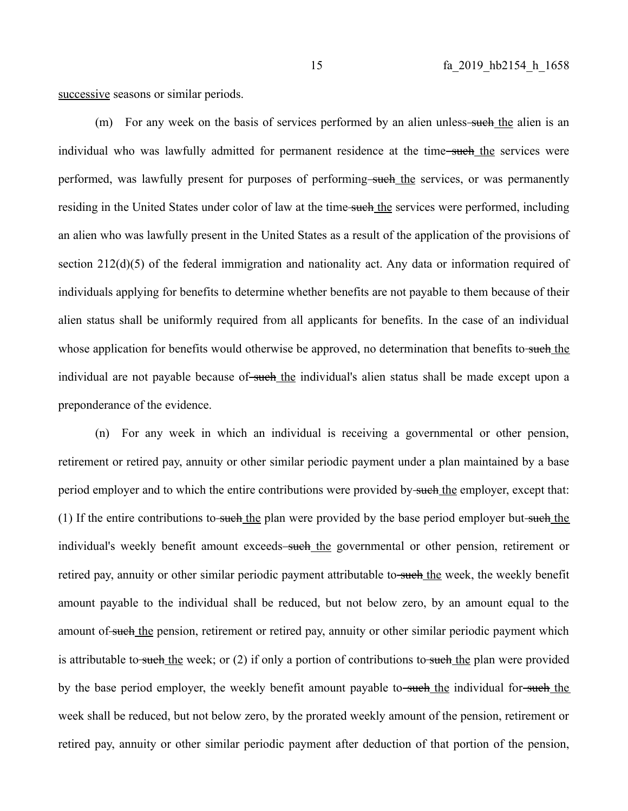successive seasons or similar periods.

 $(m)$  For any week on the basis of services performed by an alien unless-such the alien is an individual who was lawfully admitted for permanent residence at the time-such the services were performed, was lawfully present for purposes of performing-such the services, or was permanently residing in the United States under color of law at the time-such the services were performed, including an alien who was lawfully present in the United States as a result of the application of the provisions of section 212(d)(5) of the federal immigration and nationality act. Any data or information required of individuals applying for benefits to determine whether benefits are not payable to them because of their alien status shall be uniformly required from all applicants for benefits. In the case of an individual whose application for benefits would otherwise be approved, no determination that benefits to such the individual are not payable because of such the individual's alien status shall be made except upon a preponderance of the evidence.

(n) For any week in which an individual is receiving a governmental or other pension, retirement or retired pay, annuity or other similar periodic payment under a plan maintained by a base period employer and to which the entire contributions were provided by such the employer, except that: (1) If the entire contributions to such the plan were provided by the base period employer but such the individual's weekly benefit amount exceeds-such the governmental or other pension, retirement or retired pay, annuity or other similar periodic payment attributable to-such the week, the weekly benefit amount payable to the individual shall be reduced, but not below zero, by an amount equal to the amount of such the pension, retirement or retired pay, annuity or other similar periodic payment which is attributable to such the week; or  $(2)$  if only a portion of contributions to such the plan were provided by the base period employer, the weekly benefit amount payable to-such the individual for-such the week shall be reduced, but not below zero, by the prorated weekly amount of the pension, retirement or retired pay, annuity or other similar periodic payment after deduction of that portion of the pension,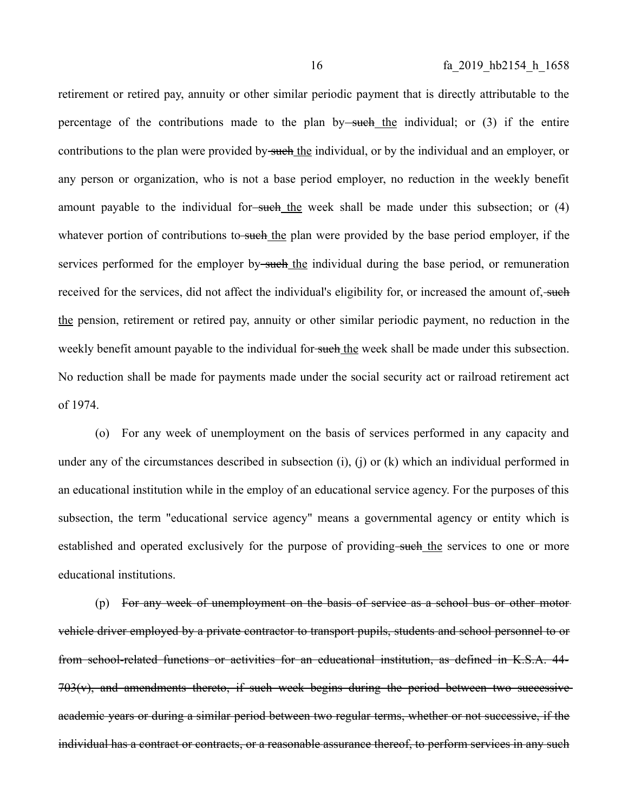retirement or retired pay, annuity or other similar periodic payment that is directly attributable to the percentage of the contributions made to the plan by such the individual; or  $(3)$  if the entire contributions to the plan were provided by such the individual, or by the individual and an employer, or any person or organization, who is not a base period employer, no reduction in the weekly benefit amount payable to the individual for-such the week shall be made under this subsection; or (4) whatever portion of contributions to such the plan were provided by the base period employer, if the services performed for the employer by-such the individual during the base period, or remuneration received for the services, did not affect the individual's eligibility for, or increased the amount of, such the pension, retirement or retired pay, annuity or other similar periodic payment, no reduction in the weekly benefit amount payable to the individual for such the week shall be made under this subsection. No reduction shall be made for payments made under the social security act or railroad retirement act of 1974.

(o) For any week of unemployment on the basis of services performed in any capacity and under any of the circumstances described in subsection (i), (j) or (k) which an individual performed in an educational institution while in the employ of an educational service agency. For the purposes of this subsection, the term "educational service agency" means a governmental agency or entity which is established and operated exclusively for the purpose of providing-such the services to one or more educational institutions.

(p) For any week of unemployment on the basis of service as a school bus or other motor vehicle driver employed by a private contractor to transport pupils, students and school personnel to or from school-related functions or activities for an educational institution, as defined in K.S.A. 44-  $703(v)$ , and amendments thereto, if such week begins during the period between two successiveacademic years or during a similar period between two regular terms, whether or not successive, if the individual has a contract or contracts, or a reasonable assurance thereof, to perform services in any such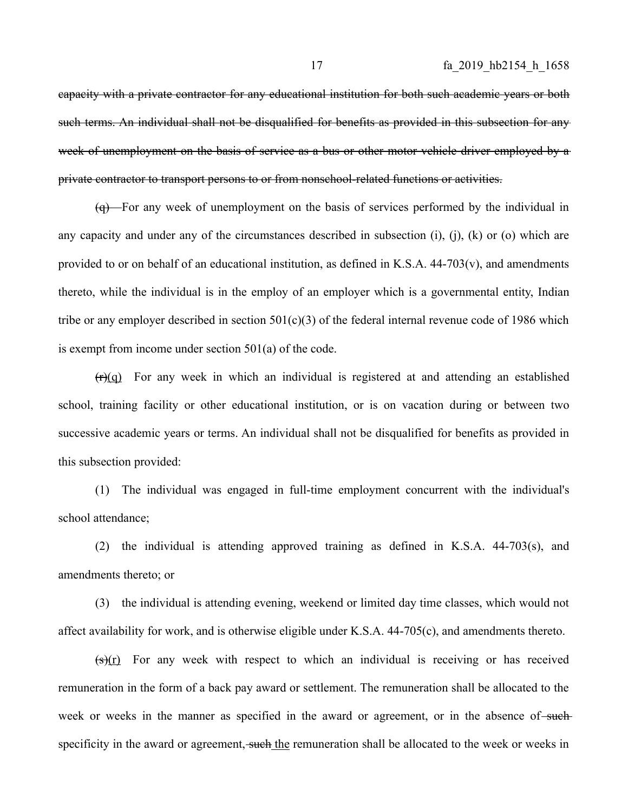capacity with a private contractor for any educational institution for both such academic years or both such terms. An individual shall not be disqualified for benefits as provided in this subsection for any week of unemployment on the basis of service as a bus or other motor vehicle driver employed by a private contractor to transport persons to or from nonschool-related functions or activities.

(q) For any week of unemployment on the basis of services performed by the individual in any capacity and under any of the circumstances described in subsection  $(i)$ ,  $(i)$ ,  $(k)$  or  $(o)$  which are provided to or on behalf of an educational institution, as defined in K.S.A.  $44-703(v)$ , and amendments thereto, while the individual is in the employ of an employer which is a governmental entity, Indian tribe or any employer described in section  $501(c)(3)$  of the federal internal revenue code of 1986 which is exempt from income under section 501(a) of the code.

 $(r)(q)$  For any week in which an individual is registered at and attending an established school, training facility or other educational institution, or is on vacation during or between two successive academic years or terms. An individual shall not be disqualified for benefits as provided in this subsection provided:

(1) The individual was engaged in full-time employment concurrent with the individual's school attendance;

(2) the individual is attending approved training as defined in K.S.A. 44-703(s), and amendments thereto; or

(3) the individual is attending evening, weekend or limited day time classes, which would not affect availability for work, and is otherwise eligible under K.S.A. 44-705(c), and amendments thereto.

 $(s)(r)$  For any week with respect to which an individual is receiving or has received remuneration in the form of a back pay award or settlement. The remuneration shall be allocated to the week or weeks in the manner as specified in the award or agreement, or in the absence of such specificity in the award or agreement, such the remuneration shall be allocated to the week or weeks in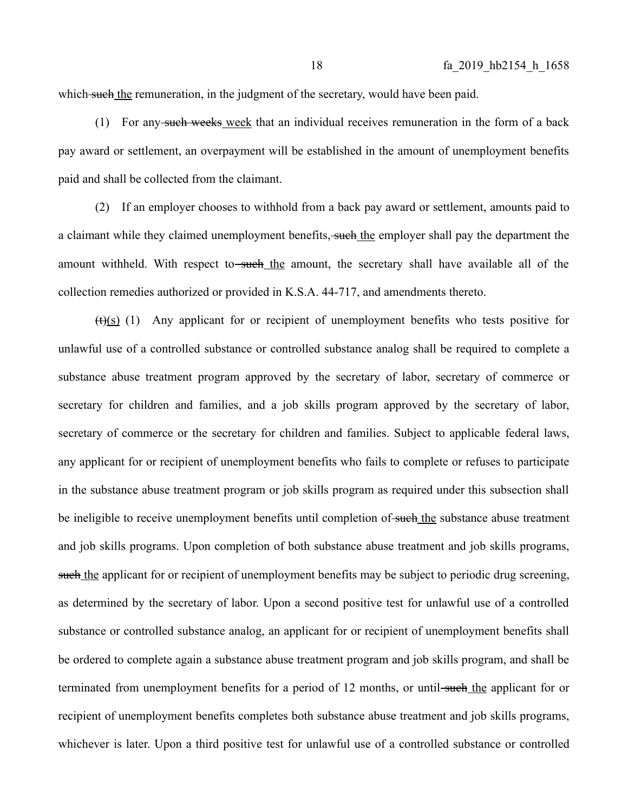which such the remuneration, in the judgment of the secretary, would have been paid.

(1) For any such weeks week that an individual receives remuneration in the form of a back pay award or settlement, an overpayment will be established in the amount of unemployment benefits paid and shall be collected from the claimant.

(2) If an employer chooses to withhold from a back pay award or settlement, amounts paid to a claimant while they claimed unemployment benefits, such the employer shall pay the department the amount withheld. With respect to<del>-such the</del> amount, the secretary shall have available all of the collection remedies authorized or provided in K.S.A. 44-717, and amendments thereto.

 $(t)(s)$  (1) Any applicant for or recipient of unemployment benefits who tests positive for unlawful use of a controlled substance or controlled substance analog shall be required to complete a substance abuse treatment program approved by the secretary of labor, secretary of commerce or secretary for children and families, and a job skills program approved by the secretary of labor, secretary of commerce or the secretary for children and families. Subject to applicable federal laws, any applicant for or recipient of unemployment benefits who fails to complete or refuses to participate in the substance abuse treatment program or job skills program as required under this subsection shall be ineligible to receive unemployment benefits until completion of such the substance abuse treatment and job skills programs. Upon completion of both substance abuse treatment and job skills programs, such the applicant for or recipient of unemployment benefits may be subject to periodic drug screening, as determined by the secretary of labor. Upon a second positive test for unlawful use of a controlled substance or controlled substance analog, an applicant for or recipient of unemployment benefits shall be ordered to complete again a substance abuse treatment program and job skills program, and shall be terminated from unemployment benefits for a period of 12 months, or until-such the applicant for or recipient of unemployment benefits completes both substance abuse treatment and job skills programs, whichever is later. Upon a third positive test for unlawful use of a controlled substance or controlled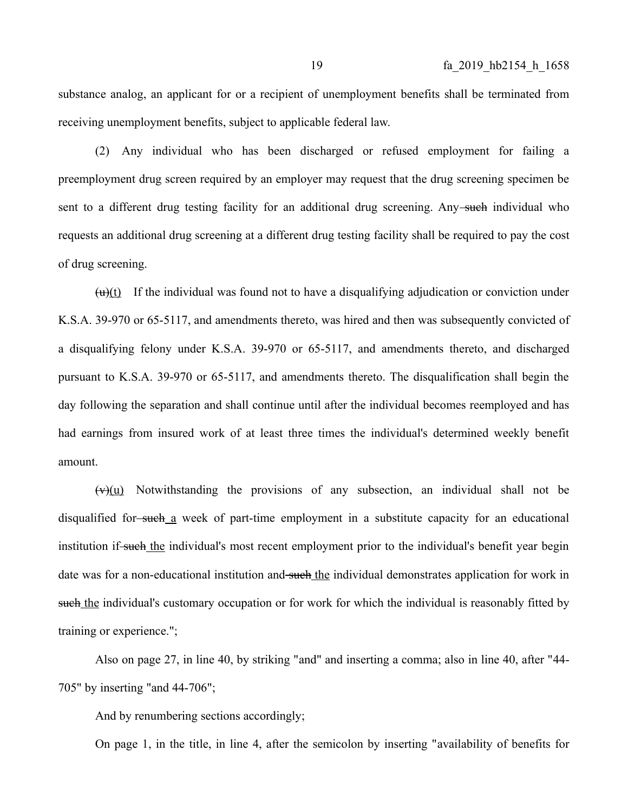substance analog, an applicant for or a recipient of unemployment benefits shall be terminated from receiving unemployment benefits, subject to applicable federal law.

(2) Any individual who has been discharged or refused employment for failing a preemployment drug screen required by an employer may request that the drug screening specimen be sent to a different drug testing facility for an additional drug screening. Any such individual who requests an additional drug screening at a different drug testing facility shall be required to pay the cost of drug screening.

 $(u)(t)$  If the individual was found not to have a disqualifying adjudication or conviction under K.S.A. 39-970 or 65-5117, and amendments thereto, was hired and then was subsequently convicted of a disqualifying felony under K.S.A. 39-970 or 65-5117, and amendments thereto, and discharged pursuant to K.S.A. 39-970 or 65-5117, and amendments thereto. The disqualification shall begin the day following the separation and shall continue until after the individual becomes reemployed and has had earnings from insured work of at least three times the individual's determined weekly benefit amount.

 $(v)(u)$  Notwithstanding the provisions of any subsection, an individual shall not be disqualified for such a week of part-time employment in a substitute capacity for an educational institution if-such the individual's most recent employment prior to the individual's benefit year begin date was for a non-educational institution and such the individual demonstrates application for work in such the individual's customary occupation or for work for which the individual is reasonably fitted by training or experience.";

Also on page 27, in line 40, by striking "and" and inserting a comma; also in line 40, after "44- 705" by inserting "and 44-706";

And by renumbering sections accordingly;

On page 1, in the title, in line 4, after the semicolon by inserting "availability of benefits for